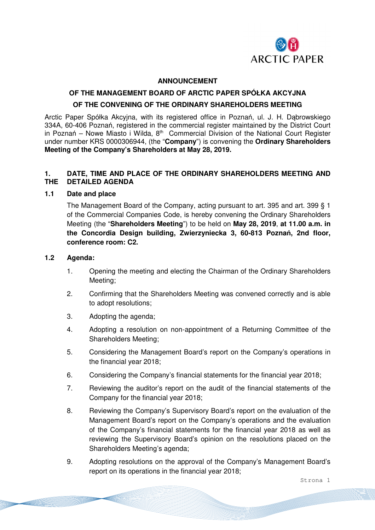

#### **ANNOUNCEMENT**

#### **OF THE MANAGEMENT BOARD OF ARCTIC PAPER SPÓŁKA AKCYJNA**

#### **OF THE CONVENING OF THE ORDINARY SHAREHOLDERS MEETING**

Arctic Paper Spółka Akcyjna, with its registered office in Poznań, ul. J. H. Dąbrowskiego 334A, 60-406 Poznań, registered in the commercial register maintained by the District Court in Poznań – Nowe Miasto i Wilda,  $8<sup>th</sup>$  Commercial Division of the National Court Register under number KRS 0000306944, (the "**Company**") is convening the **Ordinary Shareholders Meeting of the Company's Shareholders at May 28, 2019.**

# **1. DATE, TIME AND PLACE OF THE ORDINARY SHAREHOLDERS MEETING AND THE DETAILED AGENDA**

#### **1.1 Date and place**

The Management Board of the Company, acting pursuant to art. 395 and art. 399 § 1 of the Commercial Companies Code, is hereby convening the Ordinary Shareholders Meeting (the "**Shareholders Meeting**") to be held on **May 28, 2019**, **at 11.00 a.m. in the Concordia Design building, Zwierzyniecka 3, 60-813 Poznań, 2nd floor, conference room: C2.** 

#### **1.2 Agenda:**

- 1. Opening the meeting and electing the Chairman of the Ordinary Shareholders Meeting;
- 2. Confirming that the Shareholders Meeting was convened correctly and is able to adopt resolutions;
- 3. Adopting the agenda;
- 4. Adopting a resolution on non-appointment of a Returning Committee of the Shareholders Meeting;
- 5. Considering the Management Board's report on the Company's operations in the financial year 2018;
- 6. Considering the Company's financial statements for the financial year 2018;
- 7. Reviewing the auditor's report on the audit of the financial statements of the Company for the financial year 2018;
- 8. Reviewing the Company's Supervisory Board's report on the evaluation of the Management Board's report on the Company's operations and the evaluation of the Company's financial statements for the financial year 2018 as well as reviewing the Supervisory Board's opinion on the resolutions placed on the Shareholders Meeting's agenda;
- 9. Adopting resolutions on the approval of the Company's Management Board's report on its operations in the financial year 2018;

Strona 1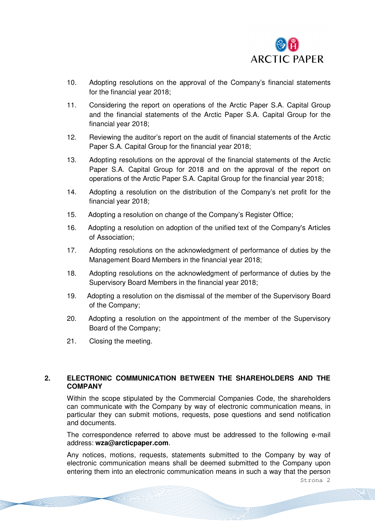

- 10. Adopting resolutions on the approval of the Company's financial statements for the financial year 2018;
- 11. Considering the report on operations of the Arctic Paper S.A. Capital Group and the financial statements of the Arctic Paper S.A. Capital Group for the financial year 2018;
- 12. Reviewing the auditor's report on the audit of financial statements of the Arctic Paper S.A. Capital Group for the financial year 2018;
- 13. Adopting resolutions on the approval of the financial statements of the Arctic Paper S.A. Capital Group for 2018 and on the approval of the report on operations of the Arctic Paper S.A. Capital Group for the financial year 2018;
- 14. Adopting a resolution on the distribution of the Company's net profit for the financial year 2018;
- 15. Adopting a resolution on change of the Company's Register Office;
- 16. Adopting a resolution on adoption of the unified text of the Company's Articles of Association;
- 17. Adopting resolutions on the acknowledgment of performance of duties by the Management Board Members in the financial year 2018;
- 18. Adopting resolutions on the acknowledgment of performance of duties by the Supervisory Board Members in the financial year 2018;
- 19. Adopting a resolution on the dismissal of the member of the Supervisory Board of the Company;
- 20. Adopting a resolution on the appointment of the member of the Supervisory Board of the Company;
- 21. Closing the meeting.

# **2. ELECTRONIC COMMUNICATION BETWEEN THE SHAREHOLDERS AND THE COMPANY**

Within the scope stipulated by the Commercial Companies Code, the shareholders can communicate with the Company by way of electronic communication means, in particular they can submit motions, requests, pose questions and send notification and documents.

The correspondence referred to above must be addressed to the following e-mail address: **wza@arcticpaper.com**.

Any notices, motions, requests, statements submitted to the Company by way of electronic communication means shall be deemed submitted to the Company upon entering them into an electronic communication means in such a way that the person

Strona 2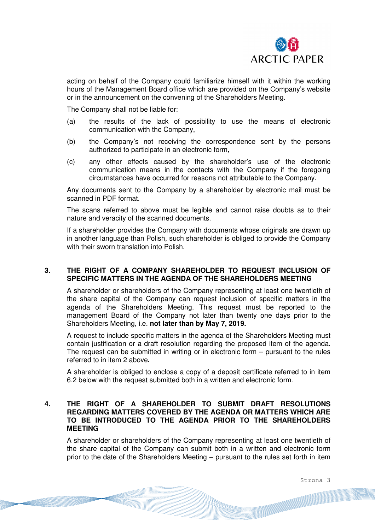

acting on behalf of the Company could familiarize himself with it within the working hours of the Management Board office which are provided on the Company's website or in the announcement on the convening of the Shareholders Meeting.

The Company shall not be liable for:

- (a) the results of the lack of possibility to use the means of electronic communication with the Company,
- (b) the Company's not receiving the correspondence sent by the persons authorized to participate in an electronic form,
- (c) any other effects caused by the shareholder's use of the electronic communication means in the contacts with the Company if the foregoing circumstances have occurred for reasons not attributable to the Company.

Any documents sent to the Company by a shareholder by electronic mail must be scanned in PDF format.

The scans referred to above must be legible and cannot raise doubts as to their nature and veracity of the scanned documents.

If a shareholder provides the Company with documents whose originals are drawn up in another language than Polish, such shareholder is obliged to provide the Company with their sworn translation into Polish.

# **3. THE RIGHT OF A COMPANY SHAREHOLDER TO REQUEST INCLUSION OF SPECIFIC MATTERS IN THE AGENDA OF THE SHAREHOLDERS MEETING**

A shareholder or shareholders of the Company representing at least one twentieth of the share capital of the Company can request inclusion of specific matters in the agenda of the Shareholders Meeting. This request must be reported to the management Board of the Company not later than twenty one days prior to the Shareholders Meeting, i.e. **not later than by May 7, 2019.** 

A request to include specific matters in the agenda of the Shareholders Meeting must contain justification or a draft resolution regarding the proposed item of the agenda. The request can be submitted in writing or in electronic form – pursuant to the rules referred to in item 2 above**.**

A shareholder is obliged to enclose a copy of a deposit certificate referred to in item 6.2 below with the request submitted both in a written and electronic form.

## **4. THE RIGHT OF A SHAREHOLDER TO SUBMIT DRAFT RESOLUTIONS REGARDING MATTERS COVERED BY THE AGENDA OR MATTERS WHICH ARE TO BE INTRODUCED TO THE AGENDA PRIOR TO THE SHAREHOLDERS MEETING**

A shareholder or shareholders of the Company representing at least one twentieth of the share capital of the Company can submit both in a written and electronic form prior to the date of the Shareholders Meeting – pursuant to the rules set forth in item

Strona 3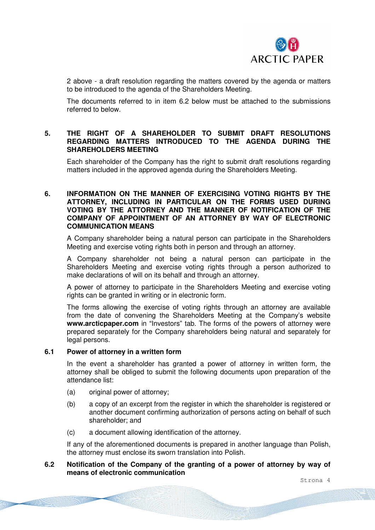

2 above - a draft resolution regarding the matters covered by the agenda or matters to be introduced to the agenda of the Shareholders Meeting.

The documents referred to in item 6.2 below must be attached to the submissions referred to below.

# **5. THE RIGHT OF A SHAREHOLDER TO SUBMIT DRAFT RESOLUTIONS REGARDING MATTERS INTRODUCED TO THE AGENDA DURING THE SHAREHOLDERS MEETING**

Each shareholder of the Company has the right to submit draft resolutions regarding matters included in the approved agenda during the Shareholders Meeting.

# **6. INFORMATION ON THE MANNER OF EXERCISING VOTING RIGHTS BY THE ATTORNEY, INCLUDING IN PARTICULAR ON THE FORMS USED DURING VOTING BY THE ATTORNEY AND THE MANNER OF NOTIFICATION OF THE COMPANY OF APPOINTMENT OF AN ATTORNEY BY WAY OF ELECTRONIC COMMUNICATION MEANS**

A Company shareholder being a natural person can participate in the Shareholders Meeting and exercise voting rights both in person and through an attorney.

A Company shareholder not being a natural person can participate in the Shareholders Meeting and exercise voting rights through a person authorized to make declarations of will on its behalf and through an attorney.

A power of attorney to participate in the Shareholders Meeting and exercise voting rights can be granted in writing or in electronic form.

The forms allowing the exercise of voting rights through an attorney are available from the date of convening the Shareholders Meeting at the Company's website **www.arcticpaper.com** in "Investors" tab. The forms of the powers of attorney were prepared separately for the Company shareholders being natural and separately for legal persons.

#### **6.1 Power of attorney in a written form**

In the event a shareholder has granted a power of attorney in written form, the attorney shall be obliged to submit the following documents upon preparation of the attendance list:

- (a) original power of attorney;
- (b) a copy of an excerpt from the register in which the shareholder is registered or another document confirming authorization of persons acting on behalf of such shareholder; and
- (c) a document allowing identification of the attorney.

If any of the aforementioned documents is prepared in another language than Polish, the attorney must enclose its sworn translation into Polish.

#### **6.2 Notification of the Company of the granting of a power of attorney by way of means of electronic communication**

Strona 4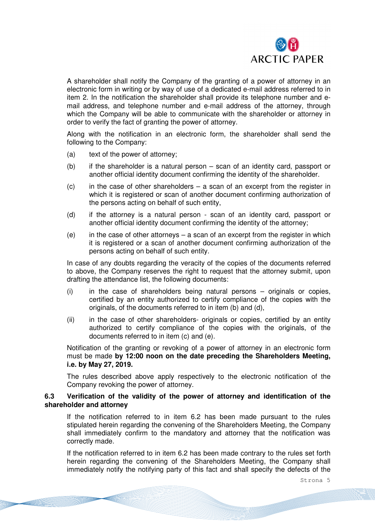

A shareholder shall notify the Company of the granting of a power of attorney in an electronic form in writing or by way of use of a dedicated e-mail address referred to in item 2. In the notification the shareholder shall provide its telephone number and email address, and telephone number and e-mail address of the attorney, through which the Company will be able to communicate with the shareholder or attorney in order to verify the fact of granting the power of attorney.

Along with the notification in an electronic form, the shareholder shall send the following to the Company:

- (a) text of the power of attorney;
- (b) if the shareholder is a natural person scan of an identity card, passport or another official identity document confirming the identity of the shareholder.
- $(c)$  in the case of other shareholders a scan of an excerpt from the register in which it is registered or scan of another document confirming authorization of the persons acting on behalf of such entity,
- (d) if the attorney is a natural person scan of an identity card, passport or another official identity document confirming the identity of the attorney;
- $(e)$  in the case of other attorneys a scan of an excerpt from the register in which it is registered or a scan of another document confirming authorization of the persons acting on behalf of such entity.

In case of any doubts regarding the veracity of the copies of the documents referred to above, the Company reserves the right to request that the attorney submit, upon drafting the attendance list, the following documents:

- (i) in the case of shareholders being natural persons originals or copies, certified by an entity authorized to certify compliance of the copies with the originals, of the documents referred to in item (b) and (d),
- (ii) in the case of other shareholders- originals or copies, certified by an entity authorized to certify compliance of the copies with the originals, of the documents referred to in item (c) and (e).

Notification of the granting or revoking of a power of attorney in an electronic form must be made **by 12:00 noon on the date preceding the Shareholders Meeting, i.e. by May 27, 2019.**

The rules described above apply respectively to the electronic notification of the Company revoking the power of attorney.

# **6.3 Verification of the validity of the power of attorney and identification of the shareholder and attorney**

If the notification referred to in item 6.2 has been made pursuant to the rules stipulated herein regarding the convening of the Shareholders Meeting, the Company shall immediately confirm to the mandatory and attorney that the notification was correctly made.

If the notification referred to in item 6.2 has been made contrary to the rules set forth herein regarding the convening of the Shareholders Meeting, the Company shall immediately notify the notifying party of this fact and shall specify the defects of the

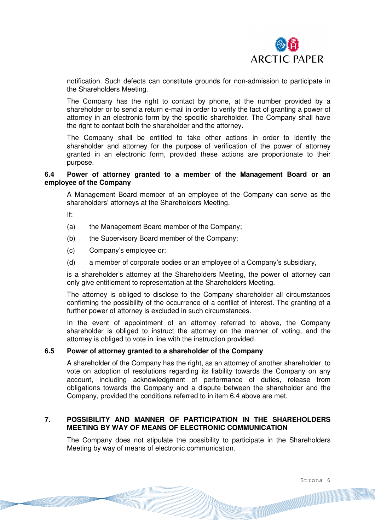

notification. Such defects can constitute grounds for non-admission to participate in the Shareholders Meeting.

The Company has the right to contact by phone, at the number provided by a shareholder or to send a return e-mail in order to verify the fact of granting a power of attorney in an electronic form by the specific shareholder. The Company shall have the right to contact both the shareholder and the attorney.

The Company shall be entitled to take other actions in order to identify the shareholder and attorney for the purpose of verification of the power of attorney granted in an electronic form, provided these actions are proportionate to their purpose.

### **6.4 Power of attorney granted to a member of the Management Board or an employee of the Company**

A Management Board member of an employee of the Company can serve as the shareholders' attorneys at the Shareholders Meeting.

If:

- (a) the Management Board member of the Company;
- (b) the Supervisory Board member of the Company;
- (c) Company's employee or:
- (d) a member of corporate bodies or an employee of a Company's subsidiary,

is a shareholder's attorney at the Shareholders Meeting, the power of attorney can only give entitlement to representation at the Shareholders Meeting.

The attorney is obliged to disclose to the Company shareholder all circumstances confirming the possibility of the occurrence of a conflict of interest. The granting of a further power of attorney is excluded in such circumstances.

In the event of appointment of an attorney referred to above, the Company shareholder is obliged to instruct the attorney on the manner of voting, and the attorney is obliged to vote in line with the instruction provided.

## **6.5 Power of attorney granted to a shareholder of the Company**

A shareholder of the Company has the right, as an attorney of another shareholder, to vote on adoption of resolutions regarding its liability towards the Company on any account, including acknowledgment of performance of duties, release from obligations towards the Company and a dispute between the shareholder and the Company, provided the conditions referred to in item 6.4 above are met.

#### **7. POSSIBILITY AND MANNER OF PARTICIPATION IN THE SHAREHOLDERS MEETING BY WAY OF MEANS OF ELECTRONIC COMMUNICATION**

The Company does not stipulate the possibility to participate in the Shareholders Meeting by way of means of electronic communication.

Strona 6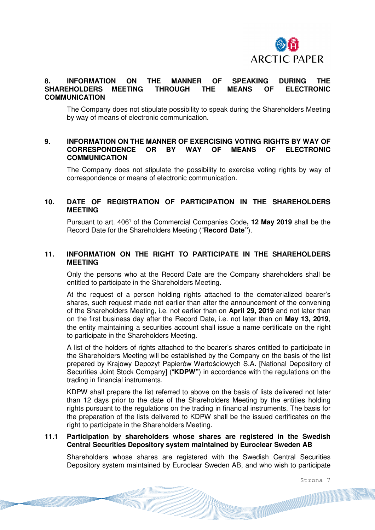

# **8. INFORMATION ON THE MANNER OF SPEAKING DURING THE SHAREHOLDERS MEETING THROUGH THE MEANS OF ELECTRONIC COMMUNICATION**

The Company does not stipulate possibility to speak during the Shareholders Meeting by way of means of electronic communication.

# **9. INFORMATION ON THE MANNER OF EXERCISING VOTING RIGHTS BY WAY OF CORRESPONDENCE OR BY WAY OF MEANS OF ELECTRONIC COMMUNICATION**

The Company does not stipulate the possibility to exercise voting rights by way of correspondence or means of electronic communication.

### **10. DATE OF REGISTRATION OF PARTICIPATION IN THE SHAREHOLDERS MEETING**

Pursuant to art. 406<sup>1</sup> of the Commercial Companies Code, 12 May 2019 shall be the Record Date for the Shareholders Meeting ("**Record Date"**).

# **11. INFORMATION ON THE RIGHT TO PARTICIPATE IN THE SHAREHOLDERS MEETING**

Only the persons who at the Record Date are the Company shareholders shall be entitled to participate in the Shareholders Meeting.

At the request of a person holding rights attached to the dematerialized bearer's shares, such request made not earlier than after the announcement of the convening of the Shareholders Meeting, i.e. not earlier than on **April 29, 2019** and not later than on the first business day after the Record Date, i.e. not later than on **May 13, 2019**, the entity maintaining a securities account shall issue a name certificate on the right to participate in the Shareholders Meeting.

A list of the holders of rights attached to the bearer's shares entitled to participate in the Shareholders Meeting will be established by the Company on the basis of the list prepared by Krajowy Depozyt Papierów Wartościowych S.A. [National Depository of Securities Joint Stock Company] ("**KDPW"**) in accordance with the regulations on the trading in financial instruments.

KDPW shall prepare the list referred to above on the basis of lists delivered not later than 12 days prior to the date of the Shareholders Meeting by the entities holding rights pursuant to the regulations on the trading in financial instruments. The basis for the preparation of the lists delivered to KDPW shall be the issued certificates on the right to participate in the Shareholders Meeting.

#### **11.1 Participation by shareholders whose shares are registered in the Swedish Central Securities Depository system maintained by Euroclear Sweden AB**

Shareholders whose shares are registered with the Swedish Central Securities Depository system maintained by Euroclear Sweden AB, and who wish to participate

Strona 7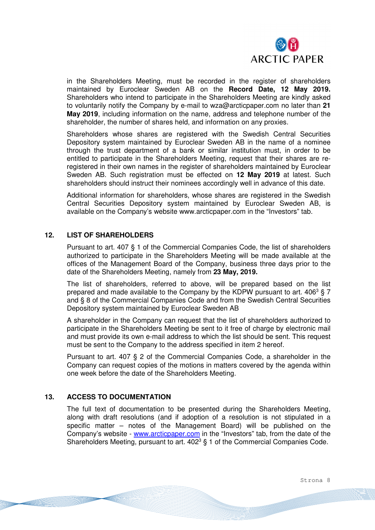

in the Shareholders Meeting, must be recorded in the register of shareholders maintained by Euroclear Sweden AB on the **Record Date, 12 May 2019.** Shareholders who intend to participate in the Shareholders Meeting are kindly asked to voluntarily notify the Company by e-mail to wza@arcticpaper.com no later than **21 May 2019**, including information on the name, address and telephone number of the shareholder, the number of shares held, and information on any proxies.

Shareholders whose shares are registered with the Swedish Central Securities Depository system maintained by Euroclear Sweden AB in the name of a nominee through the trust department of a bank or similar institution must, in order to be entitled to participate in the Shareholders Meeting, request that their shares are reregistered in their own names in the register of shareholders maintained by Euroclear Sweden AB. Such registration must be effected on **12 May 2019** at latest. Such shareholders should instruct their nominees accordingly well in advance of this date.

Additional information for shareholders, whose shares are registered in the Swedish Central Securities Depository system maintained by Euroclear Sweden AB, is available on the Company's website www.arcticpaper.com in the "Investors" tab.

# **12. LIST OF SHAREHOLDERS**

Pursuant to art. 407 § 1 of the Commercial Companies Code, the list of shareholders authorized to participate in the Shareholders Meeting will be made available at the offices of the Management Board of the Company, business three days prior to the date of the Shareholders Meeting, namely from **23 May, 2019.** 

The list of shareholders, referred to above, will be prepared based on the list prepared and made available to the Company by the KDPW pursuant to art.  $406^3$  § 7 and § 8 of the Commercial Companies Code and from the Swedish Central Securities Depository system maintained by Euroclear Sweden AB

A shareholder in the Company can request that the list of shareholders authorized to participate in the Shareholders Meeting be sent to it free of charge by electronic mail and must provide its own e-mail address to which the list should be sent. This request must be sent to the Company to the address specified in item 2 hereof.

Pursuant to art. 407 § 2 of the Commercial Companies Code, a shareholder in the Company can request copies of the motions in matters covered by the agenda within one week before the date of the Shareholders Meeting.

# **13. ACCESS TO DOCUMENTATION**

The full text of documentation to be presented during the Shareholders Meeting, along with draft resolutions (and if adoption of a resolution is not stipulated in a specific matter – notes of the Management Board) will be published on the Company's website - www.arcticpaper.com in the "Investors" tab, from the date of the Shareholders Meeting, pursuant to art.  $402<sup>3</sup>$  § 1 of the Commercial Companies Code.